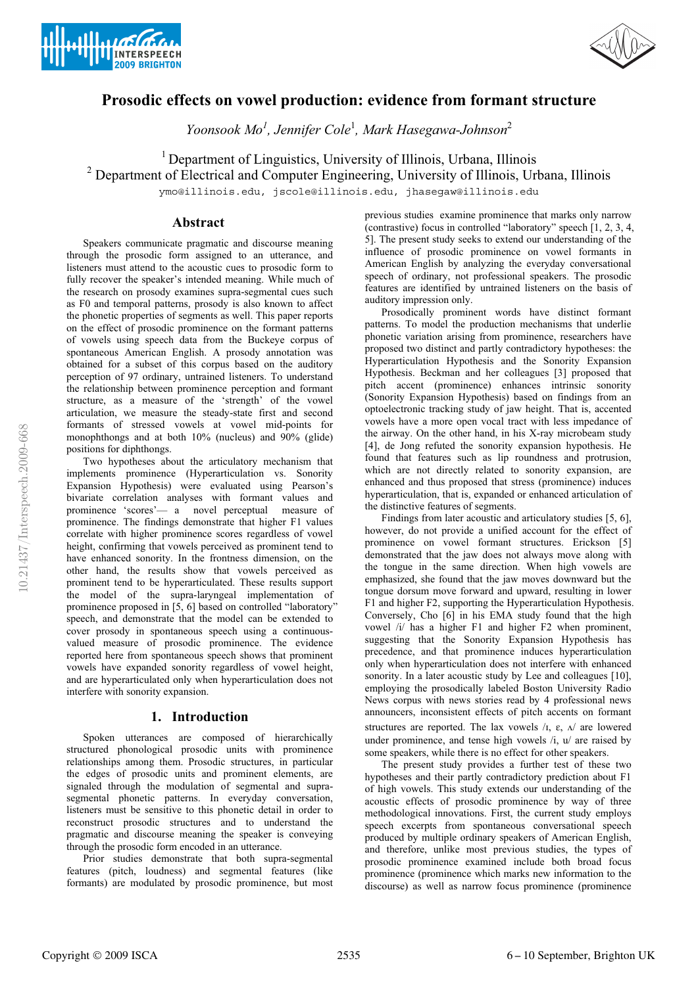



# **Prosodic effects on vowel production: evidence from formant structure**

*Yoonsook Mo<sup>1</sup> , Jennifer Cole*<sup>1</sup> *, Mark Hasegawa-Johnson*<sup>2</sup>

<sup>1</sup> Department of Linguistics, University of Illinois, Urbana, Illinois

<sup>2</sup> Department of Electrical and Computer Engineering, University of Illinois, Urbana, Illinois

ymo@illinois.edu, jscole@illinois.edu, jhasegaw@illinois.edu

# **Abstract**

Speakers communicate pragmatic and discourse meaning through the prosodic form assigned to an utterance, and listeners must attend to the acoustic cues to prosodic form to fully recover the speaker's intended meaning. While much of the research on prosody examines supra-segmental cues such as F0 and temporal patterns, prosody is also known to affect the phonetic properties of segments as well. This paper reports on the effect of prosodic prominence on the formant patterns of vowels using speech data from the Buckeye corpus of spontaneous American English. A prosody annotation was obtained for a subset of this corpus based on the auditory perception of 97 ordinary, untrained listeners. To understand the relationship between prominence perception and formant structure, as a measure of the 'strength' of the vowel articulation, we measure the steady-state first and second formants of stressed vowels at vowel mid-points for monophthongs and at both 10% (nucleus) and 90% (glide) positions for diphthongs.

Two hypotheses about the articulatory mechanism that implements prominence (Hyperarticulation vs. Sonority Expansion Hypothesis) were evaluated using Pearson's bivariate correlation analyses with formant values and prominence 'scores'— a novel perceptual measure of prominence. The findings demonstrate that higher F1 values correlate with higher prominence scores regardless of vowel height, confirming that vowels perceived as prominent tend to have enhanced sonority. In the frontness dimension, on the other hand, the results show that vowels perceived as prominent tend to be hyperarticulated. These results support the model of the supra-laryngeal implementation of prominence proposed in [5, 6] based on controlled "laboratory" speech, and demonstrate that the model can be extended to cover prosody in spontaneous speech using a continuousvalued measure of prosodic prominence. The evidence reported here from spontaneous speech shows that prominent vowels have expanded sonority regardless of vowel height, and are hyperarticulated only when hyperarticulation does not interfere with sonority expansion.

# **1. Introduction**

Spoken utterances are composed of hierarchically structured phonological prosodic units with prominence relationships among them. Prosodic structures, in particular the edges of prosodic units and prominent elements, are signaled through the modulation of segmental and suprasegmental phonetic patterns. In everyday conversation, listeners must be sensitive to this phonetic detail in order to reconstruct prosodic structures and to understand the pragmatic and discourse meaning the speaker is conveying through the prosodic form encoded in an utterance.

Prior studies demonstrate that both supra-segmental features (pitch, loudness) and segmental features (like formants) are modulated by prosodic prominence, but most previous studies examine prominence that marks only narrow (contrastive) focus in controlled "laboratory" speech [1, 2, 3, 4, 5]. The present study seeks to extend our understanding of the influence of prosodic prominence on vowel formants in American English by analyzing the everyday conversational speech of ordinary, not professional speakers. The prosodic features are identified by untrained listeners on the basis of auditory impression only.

Prosodically prominent words have distinct formant patterns. To model the production mechanisms that underlie phonetic variation arising from prominence, researchers have proposed two distinct and partly contradictory hypotheses: the Hyperarticulation Hypothesis and the Sonority Expansion Hypothesis. Beckman and her colleagues [3] proposed that pitch accent (prominence) enhances intrinsic sonority (Sonority Expansion Hypothesis) based on findings from an optoelectronic tracking study of jaw height. That is, accented vowels have a more open vocal tract with less impedance of the airway. On the other hand, in his X-ray microbeam study [4], de Jong refuted the sonority expansion hypothesis. He found that features such as lip roundness and protrusion, which are not directly related to sonority expansion, are enhanced and thus proposed that stress (prominence) induces hyperarticulation, that is, expanded or enhanced articulation of the distinctive features of segments.

Findings from later acoustic and articulatory studies [5, 6], however, do not provide a unified account for the effect of prominence on vowel formant structures. Erickson [5] demonstrated that the jaw does not always move along with the tongue in the same direction. When high vowels are emphasized, she found that the jaw moves downward but the tongue dorsum move forward and upward, resulting in lower F1 and higher F2, supporting the Hyperarticulation Hypothesis. Conversely, Cho [6] in his EMA study found that the high vowel /i/ has a higher F1 and higher F2 when prominent, suggesting that the Sonority Expansion Hypothesis has precedence, and that prominence induces hyperarticulation only when hyperarticulation does not interfere with enhanced sonority. In a later acoustic study by Lee and colleagues [10], employing the prosodically labeled Boston University Radio News corpus with news stories read by 4 professional news announcers, inconsistent effects of pitch accents on formant structures are reported. The lax vowels  $\lambda$ ,  $\varepsilon$ ,  $\Lambda$  are lowered under prominence, and tense high vowels /i, u/ are raised by some speakers, while there is no effect for other speakers.

The present study provides a further test of these two hypotheses and their partly contradictory prediction about F1 of high vowels. This study extends our understanding of the acoustic effects of prosodic prominence by way of three methodological innovations. First, the current study employs speech excerpts from spontaneous conversational speech produced by multiple ordinary speakers of American English, and therefore, unlike most previous studies, the types of prosodic prominence examined include both broad focus prominence (prominence which marks new information to the discourse) as well as narrow focus prominence (prominence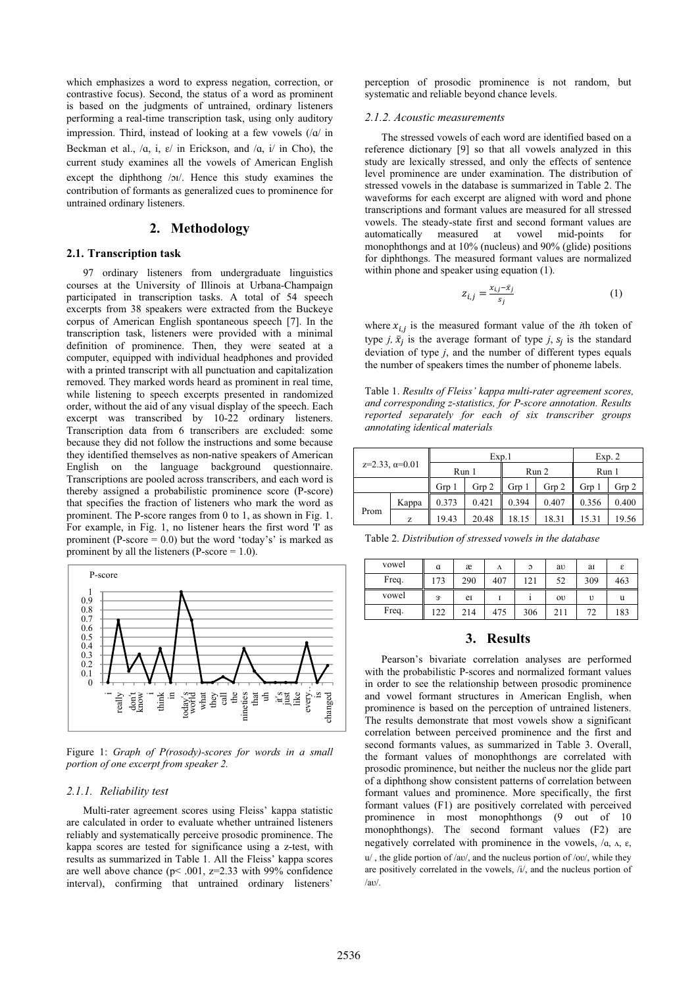which emphasizes a word to express negation, correction, or contrastive focus). Second, the status of a word as prominent is based on the judgments of untrained, ordinary listeners performing a real-time transcription task, using only auditory impression. Third, instead of looking at a few vowels  $(|a|)$  in Beckman et al.,  $/a$ , i,  $\varepsilon/$  in Erickson, and  $/a$ , i/ in Cho), the current study examines all the vowels of American English except the diphthong /oi/. Hence this study examines the contribution of formants as generalized cues to prominence for untrained ordinary listeners.

# **2. Methodology**

## **2.1. Transcription task**

97 ordinary listeners from undergraduate linguistics courses at the University of Illinois at Urbana-Champaign participated in transcription tasks. A total of 54 speech excerpts from 38 speakers were extracted from the Buckeye corpus of American English spontaneous speech [7]. In the transcription task, listeners were provided with a minimal definition of prominence. Then, they were seated at a computer, equipped with individual headphones and provided with a printed transcript with all punctuation and capitalization removed. They marked words heard as prominent in real time, while listening to speech excerpts presented in randomized order, without the aid of any visual display of the speech. Each excerpt was transcribed by 10-22 ordinary listeners. Transcription data from 6 transcribers are excluded: some because they did not follow the instructions and some because they identified themselves as non-native speakers of American English on the language background questionnaire. Transcriptions are pooled across transcribers, and each word is thereby assigned a probabilistic prominence score (P-score) that specifies the fraction of listeners who mark the word as prominent. The P-score ranges from 0 to 1, as shown in Fig. 1. For example, in Fig. 1, no listener hears the first word 'I' as prominent (P-score  $= 0.0$ ) but the word 'today's' is marked as prominent by all the listeners ( $P-score = 1.0$ ).



Figure 1: *Graph of P(rosody)-scores for words in a small portion of one excerpt from speaker 2.*

#### *2.1.1. Reliability test*

Multi-rater agreement scores using Fleiss' kappa statistic are calculated in order to evaluate whether untrained listeners reliably and systematically perceive prosodic prominence. The kappa scores are tested for significance using a z-test, with results as summarized in Table 1. All the Fleiss' kappa scores are well above chance ( $p$ < .001,  $z$ =2.33 with 99% confidence interval), confirming that untrained ordinary listeners'

perception of prosodic prominence is not random, but systematic and reliable beyond chance levels.

#### *2.1.2. Acoustic measurements*

The stressed vowels of each word are identified based on a reference dictionary [9] so that all vowels analyzed in this study are lexically stressed, and only the effects of sentence level prominence are under examination. The distribution of stressed vowels in the database is summarized in Table 2. The waveforms for each excerpt are aligned with word and phone transcriptions and formant values are measured for all stressed vowels. The steady-state first and second formant values are automatically measured at vowel mid-points for monophthongs and at 10% (nucleus) and 90% (glide) positions for diphthongs. The measured formant values are normalized within phone and speaker using equation (1).

$$
z_{i,j} = \frac{x_{i,j} - \bar{x}_j}{s_j} \tag{1}
$$

where  $x_{i,j}$  is the measured formant value of the *i*th token of type *j*,  $\bar{x}_i$  is the average formant of type *j*,  $s_i$  is the standard deviation of type *j*, and the number of different types equals the number of speakers times the number of phoneme labels.

Table 1. *Results of Fleiss' kappa multi-rater agreement scores, and corresponding z-statistics, for P-score annotation. Results reported separately for each of six transcriber groups annotating identical materials*

| $z=2.33, \alpha=0.01$ |       |       | Exp.1             | Exp. 2 |                |       |       |
|-----------------------|-------|-------|-------------------|--------|----------------|-------|-------|
|                       |       | Run 1 |                   | Run 2  |                | Run 1 |       |
|                       |       | Grp 1 | $G_{\text{TD}}$ 2 | Grp 1  | $G_{\rm TD}$ 2 | Grp   | Grp 2 |
| Prom                  | Kappa | 0.373 | 0.421             | 0.394  | 0.407          | 0.356 | 0.400 |
|                       | Z     | 19.43 | 20.48             | 18.15  | 18.31          | 15.31 | 19.56 |

Table 2. *Distribution of stressed vowels in the database*

| vowel | $\alpha$    | æ   | Λ   | C   | aυ            | aI  | ε   |
|-------|-------------|-----|-----|-----|---------------|-----|-----|
| Freq. | 173         | 290 | 407 | 121 | 52            | 309 | 463 |
| vowel | $3^{\circ}$ | eI  |     |     | $_{\text{o}}$ | υ   | u   |
| Freq. | 122         | 214 | 475 | 306 | 211           | 72  | 183 |

### **3. Results**

Pearson's bivariate correlation analyses are performed with the probabilistic P-scores and normalized formant values in order to see the relationship between prosodic prominence and vowel formant structures in American English, when prominence is based on the perception of untrained listeners. The results demonstrate that most vowels show a significant correlation between perceived prominence and the first and second formants values, as summarized in Table 3. Overall, the formant values of monophthongs are correlated with prosodic prominence, but neither the nucleus nor the glide part of a diphthong show consistent patterns of correlation between formant values and prominence. More specifically, the first formant values (F1) are positively correlated with perceived prominence in most monophthongs (9 out of 10 monophthongs). The second formant values (F2) are negatively correlated with prominence in the vowels,  $/a$ ,  $\alpha$ ,  $\varepsilon$ ,  $u'$ , the glide portion of /av/, and the nucleus portion of /ov/, while they are positively correlated in the vowels, /i/, and the nucleus portion of  $/au/$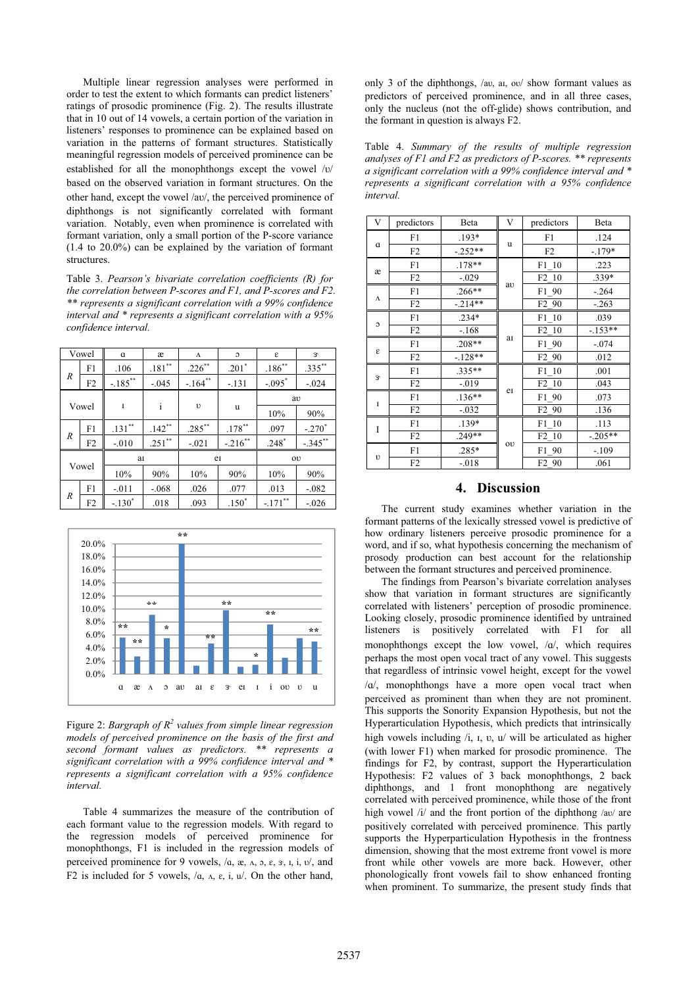Multiple linear regression analyses were performed in order to test the extent to which formants can predict listeners' ratings of prosodic prominence (Fig. 2). The results illustrate that in 10 out of 14 vowels, a certain portion of the variation in listeners' responses to prominence can be explained based on variation in the patterns of formant structures. Statistically meaningful regression models of perceived prominence can be established for all the monophthongs except the vowel  $\sqrt{v}$ based on the observed variation in formant structures. On the other hand, except the vowel /av/, the perceived prominence of diphthongs is not significantly correlated with formant variation. Notably, even when prominence is correlated with formant variation, only a small portion of the P-score variance (1.4 to 20.0%) can be explained by the variation of formant structures.

Table 3. *Pearson's bivariate correlation coefficients (R) for the correlation between P-scores and F1, and P-scores and F2. \*\* represents a significant correlation with a 99% confidence interval and \* represents a significant correlation with a 95% confidence interval.*

|       | Vowel | $\alpha$   | æ         | Λ          | $\mathfrak{O}$ | ε                    | $3^{\circ}$ |
|-------|-------|------------|-----------|------------|----------------|----------------------|-------------|
| R     | F1    | .106       | $.181**$  | $.226$ **  | $.201*$        | $.186^{**}$          | $.335***$   |
|       | F2    | $-.185$ ** | $-.045$   | $-164$ **  | $-.131$        | $-.095$ <sup>*</sup> | $-.024$     |
| Vowel |       |            |           | $\upsilon$ | u              | aυ                   |             |
|       |       | I          |           |            |                | 10%                  | 90%         |
| R     | F1    | $.131***$  | $.142***$ | $.285***$  | $.178***$      | .097                 | $-.270^*$   |
|       | F2    | $-.010$    | $.251$ ** | $-.021$    | $-.216$ **     | $.248*$              | $-.345***$  |
|       |       | aI         |           | e          |                | $_{\text{o}}$        |             |
|       | Vowel | 10%        | 90%       | 10%        | 90%            | 10%                  | 90%         |
| R     | F1    | $-.011$    | $-.068$   | .026       | .077           | .013                 | $-.082$     |
|       | F2    | $-.130*$   | .018      | .093       | $.150*$        | $-.171$ **           | $-.026$     |



Figure 2: *Bargraph of R<sup>2</sup> values from simple linear regression models of perceived prominence on the basis of the first and second formant values as predictors. \*\* represents a significant correlation with a 99% confidence interval and \* represents a significant correlation with a 95% confidence interval.* 

Table 4 summarizes the measure of the contribution of each formant value to the regression models. With regard to the regression models of perceived prominence for monophthongs, F1 is included in the regression models of perceived prominence for 9 vowels,  $/a$ ,  $\alpha$ ,  $\alpha$ ,  $\alpha$ ,  $\alpha$ ,  $\alpha$ ,  $\alpha$ ,  $\beta$ ,  $\alpha$ ,  $\beta$ ,  $\alpha$ ,  $\alpha$ ,  $\alpha$ ,  $\alpha$ ,  $\alpha$ ,  $\alpha$ ,  $\alpha$ ,  $\alpha$ ,  $\alpha$ ,  $\alpha$ ,  $\alpha$ ,  $\alpha$ ,  $\alpha$ ,  $\alpha$ ,  $\alpha$ ,  $\alpha$ ,  $\alpha$ ,  $\alpha$ ,  $\alpha$ ,  $\alpha$ ,  $\alpha$ , F2 is included for 5 vowels,  $/a$ ,  $\alpha$ ,  $\varepsilon$ ,  $i$ ,  $u$ . On the other hand,

only 3 of the diphthongs, /av, ar, ov/ show formant values as predictors of perceived prominence, and in all three cases, only the nucleus (not the off-glide) shows contribution, and the formant in question is always F2.

Table 4. *Summary of the results of multiple regression analyses of F1 and F2 as predictors of P-scores. \*\* represents a significant correlation with a 99% confidence interval and \* represents a significant correlation with a 95% confidence interval.*

| V           | predictors     | Beta      | V  | predictors                    | Beta      |
|-------------|----------------|-----------|----|-------------------------------|-----------|
|             | F1             | $.193*$   |    | F1                            | .124      |
| $\alpha$    | F <sub>2</sub> | $-.252**$ | u  | F2                            | $-.179*$  |
| æ           | F1             | $.178**$  |    | F1 10                         | .223      |
|             | F2             | $-.029$   |    | F2 10                         | .339*     |
|             | F1             | $.266**$  | aυ | F1 90                         | $-.264$   |
| Λ           | F <sub>2</sub> | $-.214**$ |    | F <sub>2</sub> 9 <sub>0</sub> | $-.263$   |
| c           | F1             | $.234*$   |    | F1 10                         | .039      |
|             | F <sub>2</sub> | $-.168$   | aI | F <sub>2</sub> 10             | $-153**$  |
|             | F1             | $.208**$  |    | F1 90                         | $-.074$   |
| ε           | F2             | $-128**$  |    | F <sub>2</sub> 9 <sub>0</sub> | .012      |
| $3^{\circ}$ | F1             | .335**    |    | F1 10                         | .001      |
|             | F <sub>2</sub> | $-0.019$  | eI | F <sub>2</sub> 10             | .043      |
| I           | F1             | $.136**$  |    | F1 90                         | .073      |
|             | F <sub>2</sub> | $-.032$   |    | F <sub>2</sub> 9 <sub>0</sub> | .136      |
| I           | F1             | $.139*$   |    | F1 10                         | .113      |
|             | F2             | .249**    |    | F2 10                         | $-.205**$ |
| υ           | F1             | .285*     | oυ | F1 90                         | $-.109$   |
|             | F <sub>2</sub> | $-0.018$  |    | F <sub>2</sub> 9 <sub>0</sub> | .061      |

# **4. Discussion**

The current study examines whether variation in the formant patterns of the lexically stressed vowel is predictive of how ordinary listeners perceive prosodic prominence for a word, and if so, what hypothesis concerning the mechanism of prosody production can best account for the relationship between the formant structures and perceived prominence.

The findings from Pearson's bivariate correlation analyses show that variation in formant structures are significantly correlated with listeners' perception of prosodic prominence. Looking closely, prosodic prominence identified by untrained listeners is positively correlated with F1 for all monophthongs except the low vowel,  $/a/$ , which requires perhaps the most open vocal tract of any vowel. This suggests that regardless of intrinsic vowel height, except for the vowel  $/\alpha$ , monophthongs have a more open vocal tract when perceived as prominent than when they are not prominent. This supports the Sonority Expansion Hypothesis, but not the Hyperarticulation Hypothesis, which predicts that intrinsically high vowels including  $/i$ ,  $i$ ,  $v$ ,  $u'$  will be articulated as higher (with lower F1) when marked for prosodic prominence. The findings for F2, by contrast, support the Hyperarticulation Hypothesis: F2 values of 3 back monophthongs, 2 back diphthongs, and 1 front monophthong are negatively correlated with perceived prominence, while those of the front high vowel  $/i$  and the front portion of the diphthong  $/av/$  are positively correlated with perceived prominence. This partly supports the Hyperparticulation Hypothesis in the frontness dimension, showing that the most extreme front vowel is more front while other vowels are more back. However, other phonologically front vowels fail to show enhanced fronting when prominent. To summarize, the present study finds that